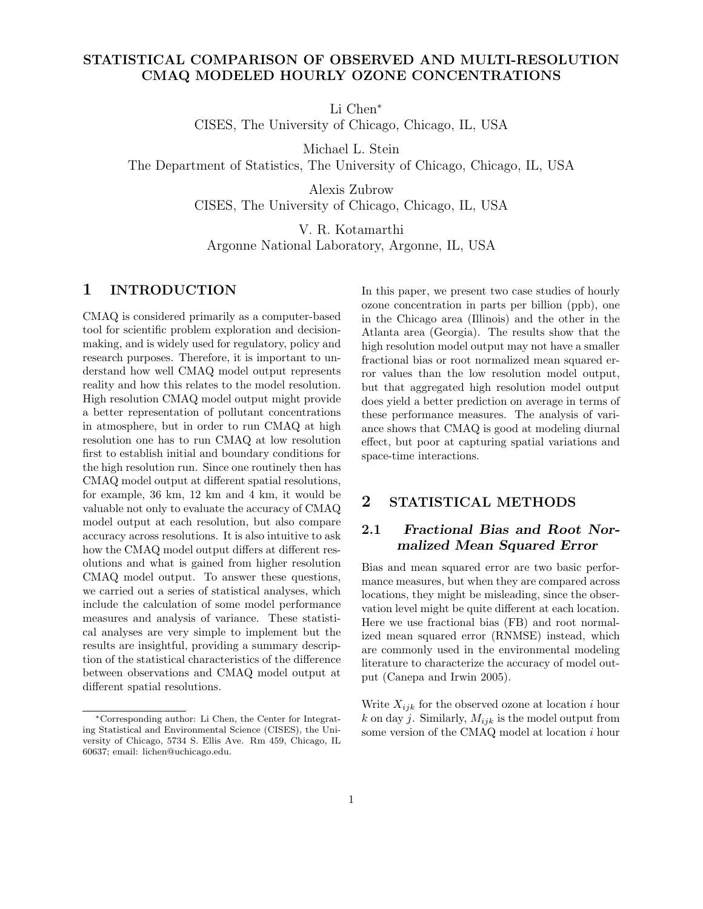# STATISTICAL COMPARISON OF OBSERVED AND MULTI-RESOLUTION CMAQ MODELED HOURLY OZONE CONCENTRATIONS

Li Chen<sup>∗</sup>

CISES, The University of Chicago, Chicago, IL, USA

Michael L. Stein

The Department of Statistics, The University of Chicago, Chicago, IL, USA

Alexis Zubrow CISES, The University of Chicago, Chicago, IL, USA

V. R. Kotamarthi Argonne National Laboratory, Argonne, IL, USA

## 1 INTRODUCTION

CMAQ is considered primarily as a computer-based tool for scientific problem exploration and decisionmaking, and is widely used for regulatory, policy and research purposes. Therefore, it is important to understand how well CMAQ model output represents reality and how this relates to the model resolution. High resolution CMAQ model output might provide a better representation of pollutant concentrations in atmosphere, but in order to run CMAQ at high resolution one has to run CMAQ at low resolution first to establish initial and boundary conditions for the high resolution run. Since one routinely then has CMAQ model output at different spatial resolutions, for example, 36 km, 12 km and 4 km, it would be valuable not only to evaluate the accuracy of CMAQ model output at each resolution, but also compare accuracy across resolutions. It is also intuitive to ask how the CMAQ model output differs at different resolutions and what is gained from higher resolution CMAQ model output. To answer these questions, we carried out a series of statistical analyses, which include the calculation of some model performance measures and analysis of variance. These statistical analyses are very simple to implement but the results are insightful, providing a summary description of the statistical characteristics of the difference between observations and CMAQ model output at different spatial resolutions.

In this paper, we present two case studies of hourly ozone concentration in parts per billion (ppb), one in the Chicago area (Illinois) and the other in the Atlanta area (Georgia). The results show that the high resolution model output may not have a smaller fractional bias or root normalized mean squared error values than the low resolution model output, but that aggregated high resolution model output does yield a better prediction on average in terms of these performance measures. The analysis of variance shows that CMAQ is good at modeling diurnal effect, but poor at capturing spatial variations and space-time interactions.

## 2 STATISTICAL METHODS

# 2.1 Fractional Bias and Root Normalized Mean Squared Error

Bias and mean squared error are two basic performance measures, but when they are compared across locations, they might be misleading, since the observation level might be quite different at each location. Here we use fractional bias (FB) and root normalized mean squared error (RNMSE) instead, which are commonly used in the environmental modeling literature to characterize the accuracy of model output (Canepa and Irwin 2005).

Write  $X_{ijk}$  for the observed ozone at location i hour k on day j. Similarly,  $M_{ijk}$  is the model output from some version of the CMAQ model at location i hour

<sup>∗</sup>Corresponding author: Li Chen, the Center for Integrating Statistical and Environmental Science (CISES), the University of Chicago, 5734 S. Ellis Ave. Rm 459, Chicago, IL 60637; email: lichen@uchicago.edu.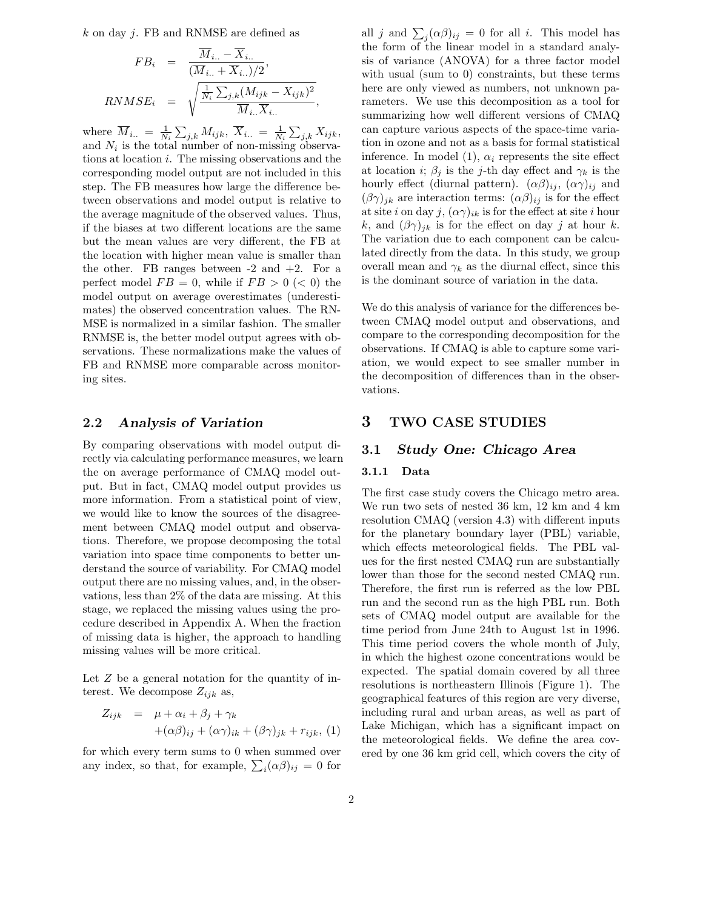k on day j. FB and RNMSE are defined as

$$
FB_i = \frac{\overline{M}_{i..} - \overline{X}_{i..}}{(\overline{M}_{i..} + \overline{X}_{i..})/2},
$$
  
\n
$$
RNMSE_i = \sqrt{\frac{\frac{1}{N_i} \sum_{j,k} (M_{ijk} - X_{ijk})^2}{\overline{M}_{i..} \overline{X}_{i..}}},
$$

where  $\overline{M}_{i..} = \frac{1}{N}$  $\frac{1}{N_i}\sum_{j,k}M_{ijk},\ \overline{X}_{i..} = \frac{1}{N_i}$  $\frac{1}{N_i} \sum_{j,k} X_{ijk},$ and  $N_i$  is the total number of non-missing observations at location i. The missing observations and the corresponding model output are not included in this step. The FB measures how large the difference between observations and model output is relative to the average magnitude of the observed values. Thus, if the biases at two different locations are the same but the mean values are very different, the FB at the location with higher mean value is smaller than the other. FB ranges between  $-2$  and  $+2$ . For a perfect model  $FB = 0$ , while if  $FB > 0 \ (< 0)$  the model output on average overestimates (underestimates) the observed concentration values. The RN-MSE is normalized in a similar fashion. The smaller RNMSE is, the better model output agrees with observations. These normalizations make the values of FB and RNMSE more comparable across monitoring sites.

## 2.2 Analysis of Variation

By comparing observations with model output directly via calculating performance measures, we learn the on average performance of CMAQ model output. But in fact, CMAQ model output provides us more information. From a statistical point of view, we would like to know the sources of the disagreement between CMAQ model output and observations. Therefore, we propose decomposing the total variation into space time components to better understand the source of variability. For CMAQ model output there are no missing values, and, in the observations, less than 2% of the data are missing. At this stage, we replaced the missing values using the procedure described in Appendix A. When the fraction of missing data is higher, the approach to handling missing values will be more critical.

Let  $Z$  be a general notation for the quantity of interest. We decompose  $Z_{ijk}$  as,

$$
Z_{ijk} = \mu + \alpha_i + \beta_j + \gamma_k
$$
  
+
$$
(\alpha \beta)_{ij} + (\alpha \gamma)_{ik} + (\beta \gamma)_{jk} + r_{ijk}, (1)
$$

for which every term sums to 0 when summed over any index, so that, for example,  $\sum_i (\alpha \beta)_{ij} = 0$  for

all j and  $\sum_j (\alpha \beta)_{ij} = 0$  for all i. This model has the form of the linear model in a standard analysis of variance (ANOVA) for a three factor model with usual (sum to 0) constraints, but these terms here are only viewed as numbers, not unknown parameters. We use this decomposition as a tool for summarizing how well different versions of CMAQ can capture various aspects of the space-time variation in ozone and not as a basis for formal statistical inference. In model (1),  $\alpha_i$  represents the site effect at location *i*;  $\beta_j$  is the *j*-th day effect and  $\gamma_k$  is the hourly effect (diurnal pattern).  $(\alpha \beta)_{ij}$ ,  $(\alpha \gamma)_{ij}$  and  $(\beta \gamma)_{jk}$  are interaction terms:  $(\alpha \beta)_{ij}$  is for the effect at site i on day j,  $(\alpha \gamma)_{ik}$  is for the effect at site i hour k, and  $(\beta \gamma)_{jk}$  is for the effect on day j at hour k. The variation due to each component can be calculated directly from the data. In this study, we group overall mean and  $\gamma_k$  as the diurnal effect, since this is the dominant source of variation in the data.

We do this analysis of variance for the differences between CMAQ model output and observations, and compare to the corresponding decomposition for the observations. If CMAQ is able to capture some variation, we would expect to see smaller number in the decomposition of differences than in the observations.

### 3 TWO CASE STUDIES

### 3.1 Study One: Chicago Area

### 3.1.1 Data

The first case study covers the Chicago metro area. We run two sets of nested 36 km, 12 km and 4 km resolution CMAQ (version 4.3) with different inputs for the planetary boundary layer (PBL) variable, which effects meteorological fields. The PBL values for the first nested CMAQ run are substantially lower than those for the second nested CMAQ run. Therefore, the first run is referred as the low PBL run and the second run as the high PBL run. Both sets of CMAQ model output are available for the time period from June 24th to August 1st in 1996. This time period covers the whole month of July, in which the highest ozone concentrations would be expected. The spatial domain covered by all three resolutions is northeastern Illinois (Figure 1). The geographical features of this region are very diverse, including rural and urban areas, as well as part of Lake Michigan, which has a significant impact on the meteorological fields. We define the area covered by one 36 km grid cell, which covers the city of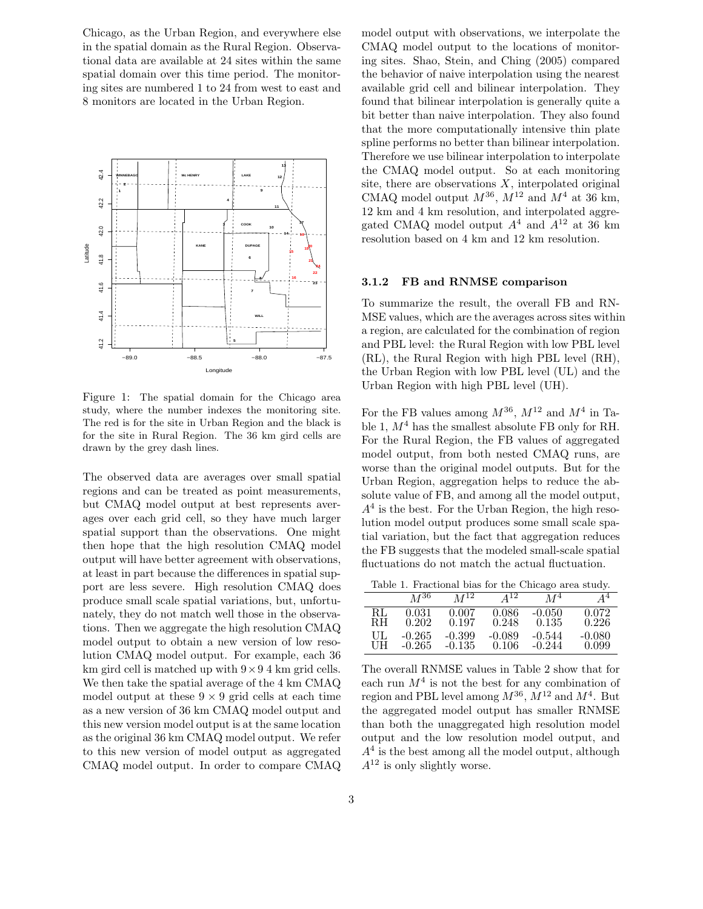Chicago, as the Urban Region, and everywhere else in the spatial domain as the Rural Region. Observational data are available at 24 sites within the same spatial domain over this time period. The monitoring sites are numbered 1 to 24 from west to east and 8 monitors are located in the Urban Region.



Figure 1: The spatial domain for the Chicago area study, where the number indexes the monitoring site. The red is for the site in Urban Region and the black is for the site in Rural Region. The 36 km gird cells are drawn by the grey dash lines.

The observed data are averages over small spatial regions and can be treated as point measurements, but CMAQ model output at best represents averages over each grid cell, so they have much larger spatial support than the observations. One might then hope that the high resolution CMAQ model output will have better agreement with observations, at least in part because the differences in spatial support are less severe. High resolution CMAQ does produce small scale spatial variations, but, unfortunately, they do not match well those in the observations. Then we aggregate the high resolution CMAQ model output to obtain a new version of low resolution CMAQ model output. For example, each 36 km gird cell is matched up with  $9 \times 9$  4 km grid cells. We then take the spatial average of the 4 km CMAQ model output at these  $9 \times 9$  grid cells at each time as a new version of 36 km CMAQ model output and this new version model output is at the same location as the original 36 km CMAQ model output. We refer to this new version of model output as aggregated CMAQ model output. In order to compare CMAQ model output with observations, we interpolate the CMAQ model output to the locations of monitoring sites. Shao, Stein, and Ching (2005) compared the behavior of naive interpolation using the nearest available grid cell and bilinear interpolation. They found that bilinear interpolation is generally quite a bit better than naive interpolation. They also found that the more computationally intensive thin plate spline performs no better than bilinear interpolation. Therefore we use bilinear interpolation to interpolate the CMAQ model output. So at each monitoring site, there are observations  $X$ , interpolated original CMAQ model output  $M^{36}$ ,  $M^{12}$  and  $M^4$  at 36 km, 12 km and 4 km resolution, and interpolated aggregated CMAQ model output  $A<sup>4</sup>$  and  $A<sup>12</sup>$  at 36 km resolution based on 4 km and 12 km resolution.

#### 3.1.2 FB and RNMSE comparison

To summarize the result, the overall FB and RN-MSE values, which are the averages across sites within a region, are calculated for the combination of region and PBL level: the Rural Region with low PBL level (RL), the Rural Region with high PBL level (RH), the Urban Region with low PBL level (UL) and the Urban Region with high PBL level (UH).

For the FB values among  $M^{36}$ ,  $M^{12}$  and  $M^4$  in Table 1,  $M^4$  has the smallest absolute FB only for RH. For the Rural Region, the FB values of aggregated model output, from both nested CMAQ runs, are worse than the original model outputs. But for the Urban Region, aggregation helps to reduce the absolute value of FB, and among all the model output,  $A<sup>4</sup>$  is the best. For the Urban Region, the high resolution model output produces some small scale spatial variation, but the fact that aggregation reduces the FB suggests that the modeled small-scale spatial fluctuations do not match the actual fluctuation.

Table 1. Fractional bias for the Chicago area study.

|    | $M^{36}$ | $M^{12}$ | $\mathbf{A}^{12}$ | $M^4$    | $A^4$    |
|----|----------|----------|-------------------|----------|----------|
| RL | 0.031    | 0.007    | 0.086             | $-0.050$ | 0.072    |
| RН | 0.202    | 0.197    | 0.248             | 0.135    | 0.226    |
| UL | $-0.265$ | -0.399   | $-0.089$          | -0.544   | $-0.080$ |
| UH | -0.265   | $-0.135$ | 0.106             | -0.244   | 0.099    |

The overall RNMSE values in Table 2 show that for each run  $M^4$  is not the best for any combination of region and PBL level among  $M^{36}$ ,  $\dot{M}^{12}$  and  $M^4$ . But the aggregated model output has smaller RNMSE than both the unaggregated high resolution model output and the low resolution model output, and  $A<sup>4</sup>$  is the best among all the model output, although  $A^{12}$  is only slightly worse.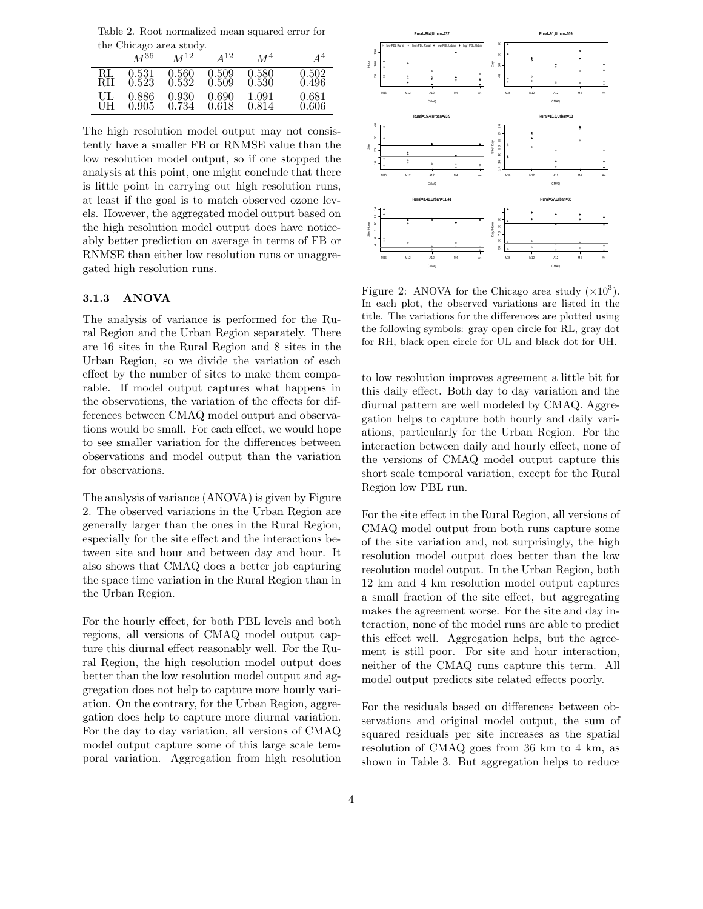Table 2. Root normalized mean squared error for the Chicago area study.

|     | $M^{36}$ | $M^{12}$ | $\mathbf{A}^{12}$ | M <sup>4</sup> | $A^4$ |
|-----|----------|----------|-------------------|----------------|-------|
| RL  | 0.531    | 0.560    | 0.509             | 0.580          | 0.502 |
| RН  | 0.523    | 0.532    | 0.509             | 0.530          | 0.496 |
| UL. | 0.886    | 0.930    | 0.690             | 1.091          | 0.681 |
| UH  | 0.905    | 0.734    | 0.618             | 0.814          | 0.606 |

The high resolution model output may not consistently have a smaller FB or RNMSE value than the low resolution model output, so if one stopped the analysis at this point, one might conclude that there is little point in carrying out high resolution runs, at least if the goal is to match observed ozone levels. However, the aggregated model output based on the high resolution model output does have noticeably better prediction on average in terms of FB or RNMSE than either low resolution runs or unaggregated high resolution runs.

#### 3.1.3 ANOVA

The analysis of variance is performed for the Rural Region and the Urban Region separately. There are 16 sites in the Rural Region and 8 sites in the Urban Region, so we divide the variation of each effect by the number of sites to make them comparable. If model output captures what happens in the observations, the variation of the effects for differences between CMAQ model output and observations would be small. For each effect, we would hope to see smaller variation for the differences between observations and model output than the variation for observations.

The analysis of variance (ANOVA) is given by Figure 2. The observed variations in the Urban Region are generally larger than the ones in the Rural Region, especially for the site effect and the interactions between site and hour and between day and hour. It also shows that CMAQ does a better job capturing the space time variation in the Rural Region than in the Urban Region.

For the hourly effect, for both PBL levels and both regions, all versions of CMAQ model output capture this diurnal effect reasonably well. For the Rural Region, the high resolution model output does better than the low resolution model output and aggregation does not help to capture more hourly variation. On the contrary, for the Urban Region, aggregation does help to capture more diurnal variation. For the day to day variation, all versions of CMAQ model output capture some of this large scale temporal variation. Aggregation from high resolution



Figure 2: ANOVA for the Chicago area study  $(\times 10^3)$ . In each plot, the observed variations are listed in the title. The variations for the differences are plotted using the following symbols: gray open circle for RL, gray dot for RH, black open circle for UL and black dot for UH.

to low resolution improves agreement a little bit for this daily effect. Both day to day variation and the diurnal pattern are well modeled by CMAQ. Aggregation helps to capture both hourly and daily variations, particularly for the Urban Region. For the interaction between daily and hourly effect, none of the versions of CMAQ model output capture this short scale temporal variation, except for the Rural Region low PBL run.

For the site effect in the Rural Region, all versions of CMAQ model output from both runs capture some of the site variation and, not surprisingly, the high resolution model output does better than the low resolution model output. In the Urban Region, both 12 km and 4 km resolution model output captures a small fraction of the site effect, but aggregating makes the agreement worse. For the site and day interaction, none of the model runs are able to predict this effect well. Aggregation helps, but the agreement is still poor. For site and hour interaction, neither of the CMAQ runs capture this term. All model output predicts site related effects poorly.

For the residuals based on differences between observations and original model output, the sum of squared residuals per site increases as the spatial resolution of CMAQ goes from 36 km to 4 km, as shown in Table 3. But aggregation helps to reduce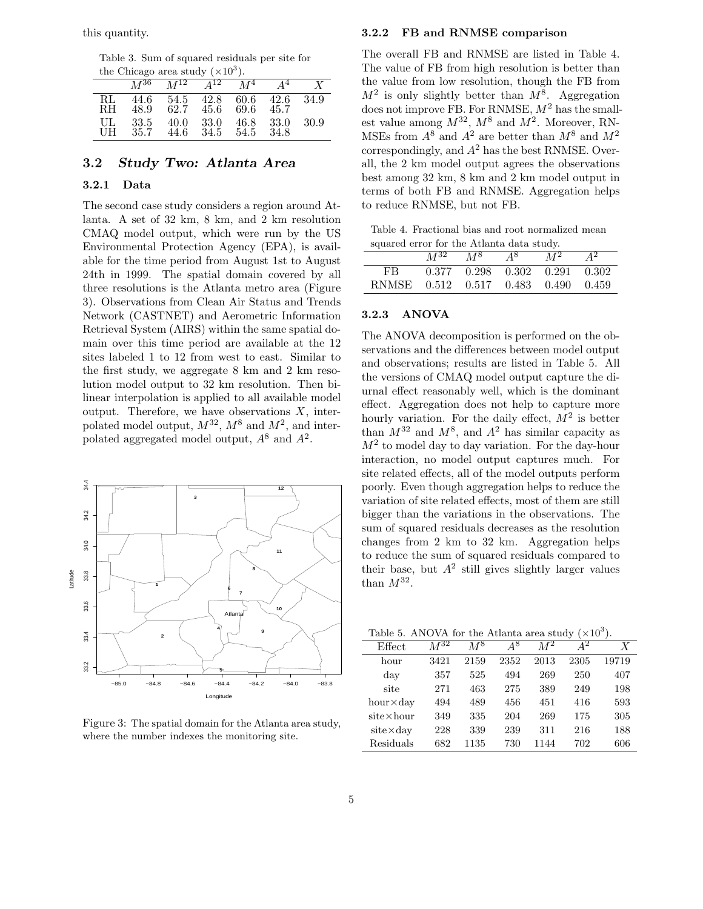this quantity.

Table 3. Sum of squared residuals per site for the Chicago area study  $(\times 10^3)$ .

| $\mu$ can called study $(0.10)$ . |              |                |                     |              |              |        |  |
|-----------------------------------|--------------|----------------|---------------------|--------------|--------------|--------|--|
|                                   | $M^{36}$     | $M^{12}$       | $\overline{A^{12}}$ | $\bar{M}^4$  | $\sqrt{4^4}$ |        |  |
| RL<br>RH.                         | 44.6<br>48.9 | 54.5 42.8 60.6 | 62.7 45.6           | 69.6 45.7    | -42.6        | - 34.9 |  |
| UL<br>UH                          | 33.5<br>35.7 | 40.0<br>44.6   | - 33.0<br>34.5      | 46.8<br>54.5 | 33.0<br>34.8 | 30.9   |  |

# 3.2 Study Two: Atlanta Area

### 3.2.1 Data

The second case study considers a region around Atlanta. A set of 32 km, 8 km, and 2 km resolution CMAQ model output, which were run by the US Environmental Protection Agency (EPA), is available for the time period from August 1st to August 24th in 1999. The spatial domain covered by all three resolutions is the Atlanta metro area (Figure 3). Observations from Clean Air Status and Trends Network (CASTNET) and Aerometric Information Retrieval System (AIRS) within the same spatial domain over this time period are available at the 12 sites labeled 1 to 12 from west to east. Similar to the first study, we aggregate 8 km and 2 km resolution model output to 32 km resolution. Then bilinear interpolation is applied to all available model output. Therefore, we have observations  $X$ , interpolated model output,  $M^{32}$ ,  $M^8$  and  $M^2$ , and interpolated aggregated model output,  $A^8$  and  $A^2$ .



Figure 3: The spatial domain for the Atlanta area study, where the number indexes the monitoring site.

#### 3.2.2 FB and RNMSE comparison

The overall FB and RNMSE are listed in Table 4. The value of FB from high resolution is better than the value from low resolution, though the FB from  $M^2$  is only slightly better than  $M^8$ . Aggregation does not improve FB. For RNMSE,  $M^2$  has the smallest value among  $M^{32}$ ,  $M^8$  and  $M^2$ . Moreover, RN-MSEs from  $A^8$  and  $A^2$  are better than  $M^8$  and  $M^2$ correspondingly, and  $A^2$  has the best RNMSE. Overall, the 2 km model output agrees the observations best among 32 km, 8 km and 2 km model output in terms of both FB and RNMSE. Aggregation helps to reduce RNMSE, but not FB.

Table 4. Fractional bias and root normalized mean squared error for the Atlanta data study.

| square on the formal resolution development |  |  |                                         |  |  |  |  |
|---------------------------------------------|--|--|-----------------------------------------|--|--|--|--|
|                                             |  |  | $M^{32}$ $M^8$ $A^8$ $M^2$ $A^2$        |  |  |  |  |
| FB                                          |  |  | $0.377$ $0.298$ $0.302$ $0.291$ $0.302$ |  |  |  |  |
| RNMSE 0.512 0.517 0.483 0.490 0.459         |  |  |                                         |  |  |  |  |

#### 3.2.3 ANOVA

The ANOVA decomposition is performed on the observations and the differences between model output and observations; results are listed in Table 5. All the versions of CMAQ model output capture the diurnal effect reasonably well, which is the dominant effect. Aggregation does not help to capture more hourly variation. For the daily effect,  $\overline{M}^2$  is better than  $M^{32}$  and  $M^8$ , and  $A^2$  has similar capacity as  $M^2$  to model day to day variation. For the day-hour interaction, no model output captures much. For site related effects, all of the model outputs perform poorly. Even though aggregation helps to reduce the variation of site related effects, most of them are still bigger than the variations in the observations. The sum of squared residuals decreases as the resolution changes from 2 km to 32 km. Aggregation helps to reduce the sum of squared residuals compared to their base, but  $A^2$  still gives slightly larger values than  $M^{32}$ .

Table 5. ANOVA for the Atlanta area study  $(\times 10^3)$ .

| Lable 5. AINOVA for the Atlanta area study (ATO). |                     |       |      |       |      |       |  |
|---------------------------------------------------|---------------------|-------|------|-------|------|-------|--|
| Effect                                            | $\overline{M}^{32}$ | $M^8$ | 48   | $M^2$ |      | X     |  |
| hour                                              | 3421                | 2159  | 2352 | 2013  | 2305 | 19719 |  |
| $_{\rm{day}}$                                     | 357                 | 525   | 494  | 269   | 250  | 407   |  |
| site                                              | 271                 | 463   | 275  | 389   | 249  | 198   |  |
| $hour \times day$                                 | 494                 | 489   | 456  | 451   | 416  | 593   |  |
| $site \times hour$                                | 349                 | 335   | 204  | 269   | 175  | 305   |  |
| $\mathrm{site} \times \mathrm{day}$               | 228                 | 339   | 239  | 311   | 216  | 188   |  |
| Residuals                                         | 682                 | 1135  | 730  | 1144  | 702  | 606   |  |